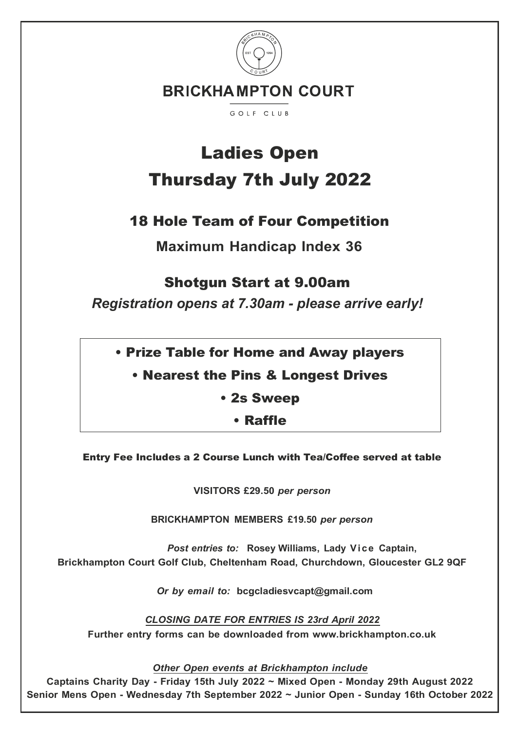

# Ladies Open Thursday 7th July 2022

## 18 Hole Team of Four Competition

**Maximum Handicap Index 36**

### Shotgun Start at 9.00am

*Registration opens at 7.30am - please arrive early!*

- Prize Table for Home and Away players
	- Nearest the Pins & Longest Drives
		- 2s Sweep
			- Raffle

Entry Fee Includes a 2 Course Lunch with Tea/Coffee served at table

**VISITORS £29.50** *per person*

**BRICKHAMPTON MEMBERS £19.50** *per person*

*Post entries to:* **Rosey Williams, Lady Vice Captain, Brickhampton Court Golf Club, Cheltenham Road, Churchdown, Gloucester GL2 9QF**

*Or by email to:* **bcgcladiesvcapt@gmail.com**

*CLOSING DATE FOR ENTRIES IS 23rd April 2022* **Further entry forms can be downloaded from www.brickhampton.co.uk**

*Other Open events at Brickhampton include*

**Captains Charity Day - Friday 15th July 2022 ~ Mixed Open - Monday 29th August 2022 Senior Mens Open - Wednesday 7th September 2022 ~ Junior Open - Sunday 16th October 2022**